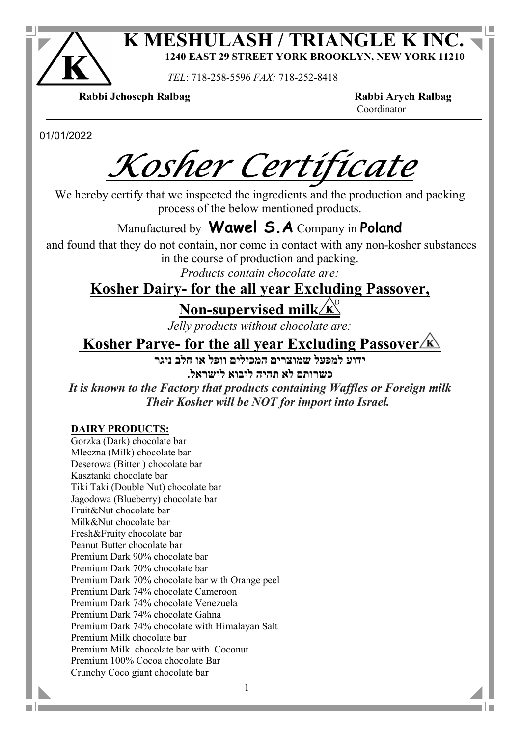

## K MESHULASH / TRIANGLE K INC. 1240 EAST 29 STREET YORK BROOKLYN, NEW YORK 11210

TEL: 718-258-5596 FAX: 718-252-8418

Rabbi Jehoseph Ralbag Rabbi Aryeh Ralbag

Coordinator

01/01/2022

Kosher Certificate

We hereby certify that we inspected the ingredients and the production and packing process of the below mentioned products.

# Manufactured by Wawel S.A Company in Poland

 and found that they do not contain, nor come in contact with any non-kosher substances in the course of production and packing.

Products contain chocolate are:

## Kosher Dairy- for the all year Excluding Passover,

**Non-supervised milk** $\chi^{\text{D}}$ 

Jelly products without chocolate are:

## Kosher Parve- for the all year Excluding Passover $\angle$ K

ידוע למפעל שמוצרים המכילים וופל או חלב ניגר

כשרותם לא תהיה ליבוא לישראל.

It is known to the Factory that products containing Waffles or Foreign milk Their Kosher will be NOT for import into Israel.

### DAIRY PRODUCTS:

Gorzka (Dark) chocolate bar Mleczna (Milk) chocolate bar Deserowa (Bitter ) chocolate bar Kasztanki chocolate bar Tiki Taki (Double Nut) chocolate bar Jagodowa (Blueberry) chocolate bar Fruit&Nut chocolate bar Milk&Nut chocolate bar Fresh&Fruity chocolate bar Peanut Butter chocolate bar Premium Dark 90% chocolate bar Premium Dark 70% chocolate bar Premium Dark 70% chocolate bar with Orange peel Premium Dark 74% chocolate Cameroon Premium Dark 74% chocolate Venezuela Premium Dark 74% chocolate Gahna Premium Dark 74% chocolate with Himalayan Salt Premium Milk chocolate bar Premium Milk chocolate bar with Coconut Premium 100% Cocoa chocolate Bar Crunchy Coco giant chocolate bar